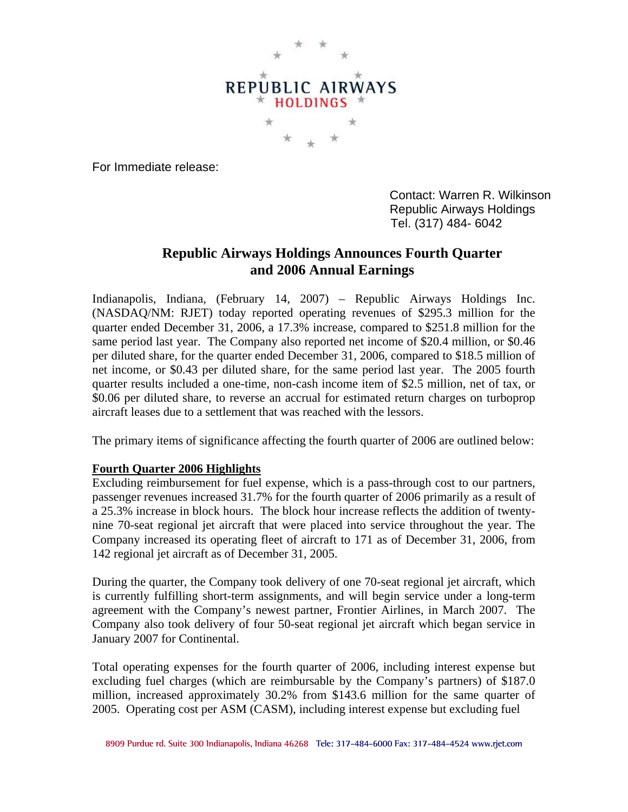

For Immediate release:

 Contact: Warren R. Wilkinson Republic Airways Holdings Tel. (317) 484- 6042

# **Republic Airways Holdings Announces Fourth Quarter and 2006 Annual Earnings**

Indianapolis, Indiana, (February 14, 2007) – Republic Airways Holdings Inc. (NASDAQ/NM: RJET) today reported operating revenues of \$295.3 million for the quarter ended December 31, 2006, a 17.3% increase, compared to \$251.8 million for the same period last year. The Company also reported net income of \$20.4 million, or \$0.46 per diluted share, for the quarter ended December 31, 2006, compared to \$18.5 million of net income, or \$0.43 per diluted share, for the same period last year. The 2005 fourth quarter results included a one-time, non-cash income item of \$2.5 million, net of tax, or \$0.06 per diluted share, to reverse an accrual for estimated return charges on turboprop aircraft leases due to a settlement that was reached with the lessors.

The primary items of significance affecting the fourth quarter of 2006 are outlined below:

### **Fourth Quarter 2006 Highlights**

Excluding reimbursement for fuel expense, which is a pass-through cost to our partners, passenger revenues increased 31.7% for the fourth quarter of 2006 primarily as a result of a 25.3% increase in block hours. The block hour increase reflects the addition of twentynine 70-seat regional jet aircraft that were placed into service throughout the year. The Company increased its operating fleet of aircraft to 171 as of December 31, 2006, from 142 regional jet aircraft as of December 31, 2005.

During the quarter, the Company took delivery of one 70-seat regional jet aircraft, which is currently fulfilling short-term assignments, and will begin service under a long-term agreement with the Company's newest partner, Frontier Airlines, in March 2007. The Company also took delivery of four 50-seat regional jet aircraft which began service in January 2007 for Continental.

Total operating expenses for the fourth quarter of 2006, including interest expense but excluding fuel charges (which are reimbursable by the Company's partners) of \$187.0 million, increased approximately 30.2% from \$143.6 million for the same quarter of 2005. Operating cost per ASM (CASM), including interest expense but excluding fuel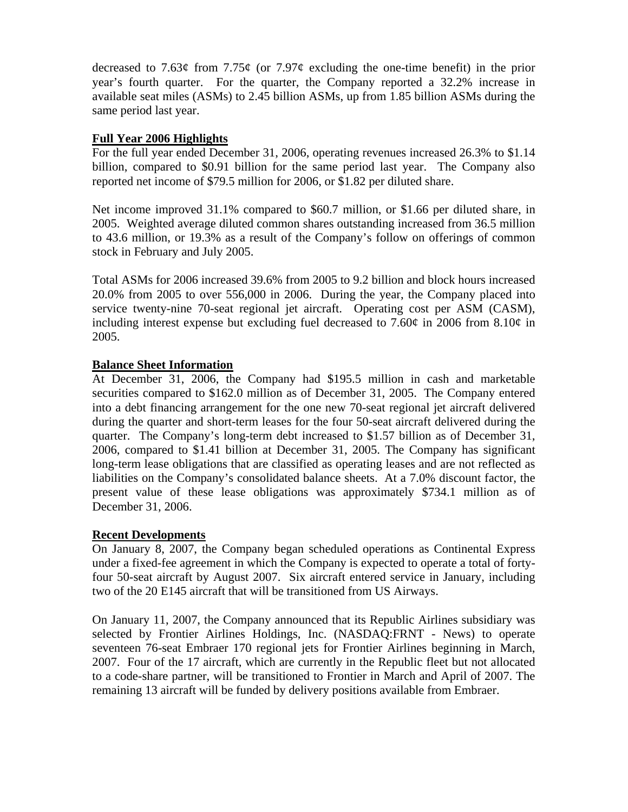decreased to 7.63 $\varphi$  from 7.75 $\varphi$  (or 7.97 $\varphi$  excluding the one-time benefit) in the prior year's fourth quarter. For the quarter, the Company reported a 32.2% increase in available seat miles (ASMs) to 2.45 billion ASMs, up from 1.85 billion ASMs during the same period last year.

# **Full Year 2006 Highlights**

For the full year ended December 31, 2006, operating revenues increased 26.3% to \$1.14 billion, compared to \$0.91 billion for the same period last year. The Company also reported net income of \$79.5 million for 2006, or \$1.82 per diluted share.

Net income improved 31.1% compared to \$60.7 million, or \$1.66 per diluted share, in 2005. Weighted average diluted common shares outstanding increased from 36.5 million to 43.6 million, or 19.3% as a result of the Company's follow on offerings of common stock in February and July 2005.

Total ASMs for 2006 increased 39.6% from 2005 to 9.2 billion and block hours increased 20.0% from 2005 to over 556,000 in 2006. During the year, the Company placed into service twenty-nine 70-seat regional jet aircraft. Operating cost per ASM (CASM), including interest expense but excluding fuel decreased to 7.60 $\varphi$  in 2006 from 8.10 $\varphi$  in 2005.

# **Balance Sheet Information**

At December 31, 2006, the Company had \$195.5 million in cash and marketable securities compared to \$162.0 million as of December 31, 2005. The Company entered into a debt financing arrangement for the one new 70-seat regional jet aircraft delivered during the quarter and short-term leases for the four 50-seat aircraft delivered during the quarter. The Company's long-term debt increased to \$1.57 billion as of December 31, 2006, compared to \$1.41 billion at December 31, 2005. The Company has significant long-term lease obligations that are classified as operating leases and are not reflected as liabilities on the Company's consolidated balance sheets. At a 7.0% discount factor, the present value of these lease obligations was approximately \$734.1 million as of December 31, 2006.

### **Recent Developments**

On January 8, 2007, the Company began scheduled operations as Continental Express under a fixed-fee agreement in which the Company is expected to operate a total of fortyfour 50-seat aircraft by August 2007. Six aircraft entered service in January, including two of the 20 E145 aircraft that will be transitioned from US Airways.

On January 11, 2007, the Company announced that its Republic Airlines subsidiary was selected by Frontier Airlines Holdings, Inc. (NASDAQ:FRNT - News) to operate seventeen 76-seat Embraer 170 regional jets for Frontier Airlines beginning in March, 2007. Four of the 17 aircraft, which are currently in the Republic fleet but not allocated to a code-share partner, will be transitioned to Frontier in March and April of 2007. The remaining 13 aircraft will be funded by delivery positions available from Embraer.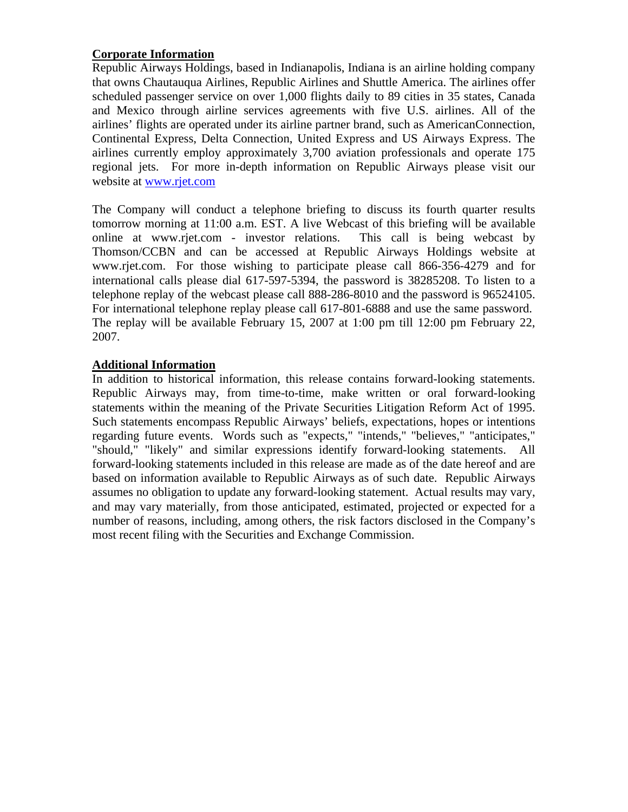# **Corporate Information**

Republic Airways Holdings, based in Indianapolis, Indiana is an airline holding company that owns Chautauqua Airlines, Republic Airlines and Shuttle America. The airlines offer scheduled passenger service on over 1,000 flights daily to 89 cities in 35 states, Canada and Mexico through airline services agreements with five U.S. airlines. All of the airlines' flights are operated under its airline partner brand, such as AmericanConnection, Continental Express, Delta Connection, United Express and US Airways Express. The airlines currently employ approximately 3,700 aviation professionals and operate 175 regional jets. For more in-depth information on Republic Airways please visit our website at www.rjet.com

The Company will conduct a telephone briefing to discuss its fourth quarter results tomorrow morning at 11:00 a.m. EST. A live Webcast of this briefing will be available online at www.rjet.com - investor relations. This call is being webcast by Thomson/CCBN and can be accessed at Republic Airways Holdings website at www.rjet.com. For those wishing to participate please call 866-356-4279 and for international calls please dial 617-597-5394, the password is 38285208. To listen to a telephone replay of the webcast please call 888-286-8010 and the password is 96524105. For international telephone replay please call 617-801-6888 and use the same password. The replay will be available February 15, 2007 at 1:00 pm till 12:00 pm February 22, 2007.

# **Additional Information**

In addition to historical information, this release contains forward-looking statements. Republic Airways may, from time-to-time, make written or oral forward-looking statements within the meaning of the Private Securities Litigation Reform Act of 1995. Such statements encompass Republic Airways' beliefs, expectations, hopes or intentions regarding future events. Words such as "expects," "intends," "believes," "anticipates," "should," "likely" and similar expressions identify forward-looking statements. All forward-looking statements included in this release are made as of the date hereof and are based on information available to Republic Airways as of such date. Republic Airways assumes no obligation to update any forward-looking statement. Actual results may vary, and may vary materially, from those anticipated, estimated, projected or expected for a number of reasons, including, among others, the risk factors disclosed in the Company's most recent filing with the Securities and Exchange Commission.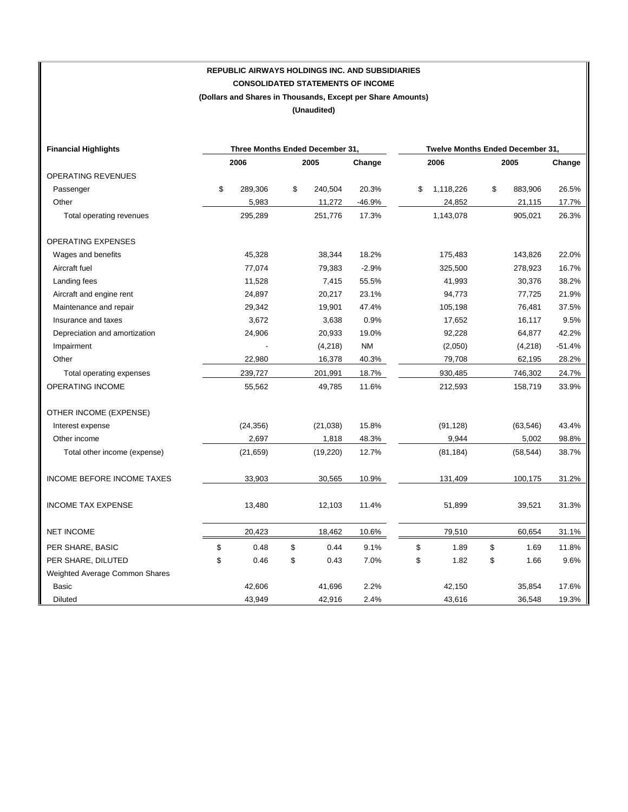# **REPUBLIC AIRWAYS HOLDINGS INC. AND SUBSIDIARIES CONSOLIDATED STATEMENTS OF INCOME (Dollars and Shares in Thousands, Except per Share Amounts)**

**(Unaudited)** 

| <b>Financial Highlights</b>    | Three Months Ended December 31, |           |      |           |           | Twelve Months Ended December 31, |           |      |           |          |
|--------------------------------|---------------------------------|-----------|------|-----------|-----------|----------------------------------|-----------|------|-----------|----------|
|                                | 2006                            |           | 2005 |           | Change    | 2006                             |           | 2005 |           | Change   |
| OPERATING REVENUES             |                                 |           |      |           |           |                                  |           |      |           |          |
| Passenger                      | \$                              | 289,306   | \$   | 240,504   | 20.3%     | \$                               | 1,118,226 | \$   | 883,906   | 26.5%    |
| Other                          |                                 | 5,983     |      | 11,272    | $-46.9%$  |                                  | 24,852    |      | 21,115    | 17.7%    |
| Total operating revenues       |                                 | 295,289   |      | 251,776   | 17.3%     |                                  | 1,143,078 |      | 905,021   | 26.3%    |
| <b>OPERATING EXPENSES</b>      |                                 |           |      |           |           |                                  |           |      |           |          |
| Wages and benefits             |                                 | 45,328    |      | 38,344    | 18.2%     |                                  | 175,483   |      | 143,826   | 22.0%    |
| Aircraft fuel                  |                                 | 77,074    |      | 79,383    | $-2.9%$   |                                  | 325,500   |      | 278,923   | 16.7%    |
| Landing fees                   |                                 | 11,528    |      | 7,415     | 55.5%     |                                  | 41,993    |      | 30,376    | 38.2%    |
| Aircraft and engine rent       |                                 | 24,897    |      | 20,217    | 23.1%     |                                  | 94,773    |      | 77,725    | 21.9%    |
| Maintenance and repair         |                                 | 29,342    |      | 19,901    | 47.4%     |                                  | 105,198   |      | 76,481    | 37.5%    |
| Insurance and taxes            |                                 | 3,672     |      | 3,638     | 0.9%      |                                  | 17,652    |      | 16,117    | 9.5%     |
| Depreciation and amortization  |                                 | 24,906    |      | 20,933    | 19.0%     |                                  | 92,228    |      | 64,877    | 42.2%    |
| Impairment                     |                                 |           |      | (4,218)   | <b>NM</b> |                                  | (2,050)   |      | (4,218)   | $-51.4%$ |
| Other                          |                                 | 22,980    |      | 16,378    | 40.3%     |                                  | 79,708    |      | 62,195    | 28.2%    |
| Total operating expenses       |                                 | 239,727   |      | 201,991   | 18.7%     |                                  | 930,485   |      | 746,302   | 24.7%    |
| <b>OPERATING INCOME</b>        |                                 | 55,562    |      | 49,785    | 11.6%     |                                  | 212,593   |      | 158,719   | 33.9%    |
| OTHER INCOME (EXPENSE)         |                                 |           |      |           |           |                                  |           |      |           |          |
| Interest expense               |                                 | (24, 356) |      | (21, 038) | 15.8%     |                                  | (91, 128) |      | (63, 546) | 43.4%    |
| Other income                   |                                 | 2,697     |      | 1,818     | 48.3%     |                                  | 9,944     |      | 5,002     | 98.8%    |
| Total other income (expense)   |                                 | (21, 659) |      | (19,220)  | 12.7%     |                                  | (81, 184) |      | (58, 544) | 38.7%    |
| INCOME BEFORE INCOME TAXES     |                                 | 33,903    |      | 30,565    | 10.9%     |                                  | 131,409   |      | 100,175   | 31.2%    |
| <b>INCOME TAX EXPENSE</b>      |                                 | 13,480    |      | 12,103    | 11.4%     |                                  | 51,899    |      | 39,521    | 31.3%    |
| <b>NET INCOME</b>              |                                 | 20,423    |      | 18,462    | 10.6%     |                                  | 79,510    |      | 60,654    | 31.1%    |
| PER SHARE, BASIC               | \$                              | 0.48      | \$   | 0.44      | 9.1%      | \$                               | 1.89      | \$   | 1.69      | 11.8%    |
| PER SHARE, DILUTED             | \$                              | 0.46      | \$   | 0.43      | 7.0%      | \$                               | 1.82      | \$   | 1.66      | 9.6%     |
| Weighted Average Common Shares |                                 |           |      |           |           |                                  |           |      |           |          |
| Basic                          |                                 | 42,606    |      | 41,696    | 2.2%      |                                  | 42,150    |      | 35,854    | 17.6%    |
| Diluted                        |                                 | 43,949    |      | 42,916    | 2.4%      |                                  | 43,616    |      | 36,548    | 19.3%    |